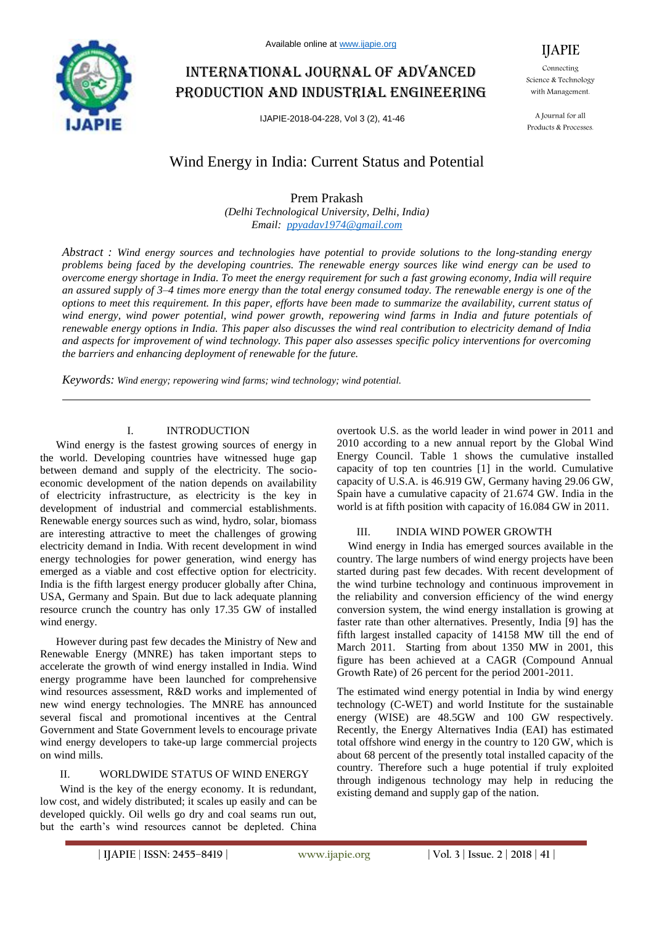Available online at www.ijapie.org

# International journal of advanced production and industrial engineering

IJAPIE-2018-04-228, Vol 3 (2), 41-46



IJAPIE

A Journal for all Products & Processes.

# Wind Energy in India: Current Status and Potential

Prem Prakash

*(Delhi Technological University, Delhi, India) Email: ppyadav1974@gmail.com*

*Abstract : Wind energy sources and technologies have potential to provide solutions to the long-standing energy problems being faced by the developing countries. The renewable energy sources like wind energy can be used to overcome energy shortage in India. To meet the energy requirement for such a fast growing economy, India will require an assured supply of 3–4 times more energy than the total energy consumed today. The renewable energy is one of the options to meet this requirement. In this paper, efforts have been made to summarize the availability, current status of wind energy, wind power potential, wind power growth, repowering wind farms in India and future potentials of renewable energy options in India. This paper also discusses the wind real contribution to electricity demand of India and aspects for improvement of wind technology. This paper also assesses specific policy interventions for overcoming the barriers and enhancing deployment of renewable for the future.*

*Keywords: Wind energy; repowering wind farms; wind technology; wind potential.*

# I. INTRODUCTION

Wind energy is the fastest growing sources of energy in the world. Developing countries have witnessed huge gap between demand and supply of the electricity. The socioeconomic development of the nation depends on availability of electricity infrastructure, as electricity is the key in development of industrial and commercial establishments. Renewable energy sources such as wind, hydro, solar, biomass are interesting attractive to meet the challenges of growing electricity demand in India. With recent development in wind energy technologies for power generation, wind energy has emerged as a viable and cost effective option for electricity. India is the fifth largest energy producer globally after China, USA, Germany and Spain. But due to lack adequate planning resource crunch the country has only 17.35 GW of installed wind energy.

However during past few decades the Ministry of New and Renewable Energy (MNRE) has taken important steps to accelerate the growth of wind energy installed in India. Wind energy programme have been launched for comprehensive wind resources assessment, R&D works and implemented of new wind energy technologies. The MNRE has announced several fiscal and promotional incentives at the Central Government and State Government levels to encourage private wind energy developers to take-up large commercial projects on wind mills.

#### II. WORLDWIDE STATUS OF WIND ENERGY

Wind is the key of the energy economy. It is redundant, low cost, and widely distributed; it scales up easily and can be developed quickly. Oil wells go dry and coal seams run out, but the earth's wind resources cannot be depleted. China

overtook U.S. as the world leader in wind power in 2011 and 2010 according to a new annual report by the Global Wind Energy Council. Table 1 shows the cumulative installed capacity of top ten countries [1] in the world. Cumulative capacity of U.S.A. is 46.919 GW, Germany having 29.06 GW, Spain have a cumulative capacity of 21.674 GW. India in the world is at fifth position with capacity of 16.084 GW in 2011.

#### III. INDIA WIND POWER GROWTH

 Wind energy in India has emerged sources available in the country. The large numbers of wind energy projects have been started during past few decades. With recent development of the wind turbine technology and continuous improvement in the reliability and conversion efficiency of the wind energy conversion system, the wind energy installation is growing at faster rate than other alternatives. Presently, India [9] has the fifth largest installed capacity of 14158 MW till the end of March 2011. Starting from about 1350 MW in 2001, this figure has been achieved at a CAGR (Compound Annual Growth Rate) of 26 percent for the period 2001-2011.

The estimated wind energy potential in India by wind energy technology (C-WET) and world Institute for the sustainable energy (WISE) are 48.5GW and 100 GW respectively. Recently, the Energy Alternatives India (EAI) has estimated total offshore wind energy in the country to 120 GW, which is about 68 percent of the presently total installed capacity of the country. Therefore such a huge potential if truly exploited through indigenous technology may help in reducing the existing demand and supply gap of the nation.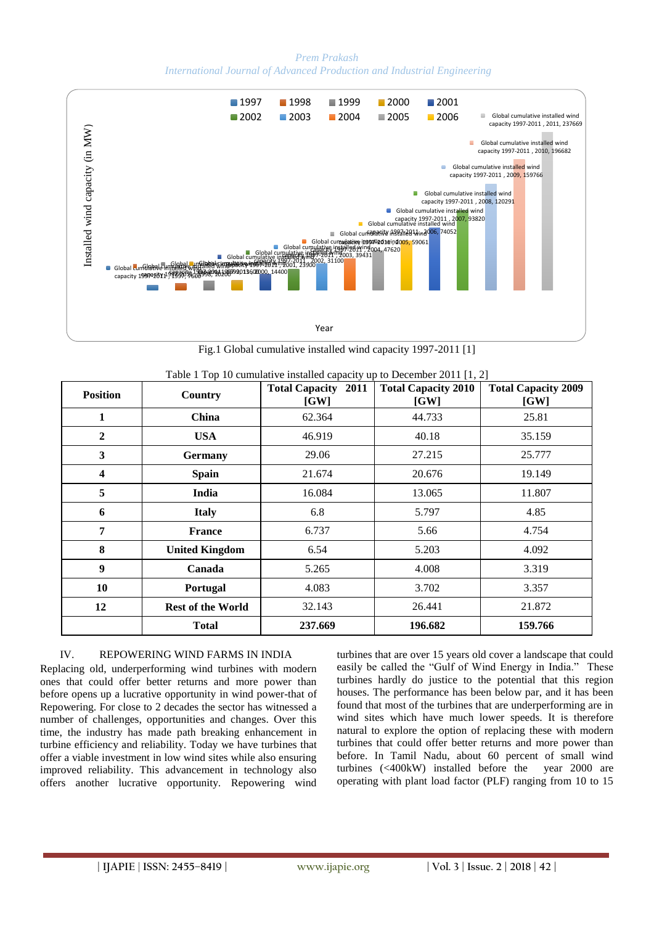*Prem Prakash International Journal of Advanced Production and Industrial Engineering*



Fig.1 Global cumulative installed wind capacity 1997-2011 [1]

| <b>Position</b> | Country                  | <b>Total Capacity</b><br>2011<br>[GW] | <b>Total Capacity 2010</b><br>[GW] | <b>Total Capacity 2009</b><br>[GW] |  |
|-----------------|--------------------------|---------------------------------------|------------------------------------|------------------------------------|--|
| 1               | <b>China</b>             | 62.364                                | 44.733                             | 25.81                              |  |
| $\mathbf{2}$    | <b>USA</b>               | 46.919                                | 40.18                              | 35.159                             |  |
| 3               | <b>Germany</b>           | 29.06                                 | 27.215                             | 25.777                             |  |
| 4               | <b>Spain</b>             | 21.674                                | 20.676                             | 19.149                             |  |
| 5               | India                    | 16.084                                | 13.065                             | 11.807                             |  |
| 6               | <b>Italy</b>             | 6.8                                   | 5.797                              | 4.85                               |  |
| 7               | <b>France</b>            | 6.737                                 | 5.66                               | 4.754                              |  |
| 8               | <b>United Kingdom</b>    | 6.54                                  | 5.203                              | 4.092                              |  |
| 9               | Canada                   | 5.265                                 | 4.008                              | 3.319                              |  |
| 10              | Portugal                 | 4.083                                 | 3.702                              | 3.357                              |  |
| 12              | <b>Rest of the World</b> | 32.143                                | 26.441                             | 21.872                             |  |
|                 | <b>Total</b>             | 237.669                               | 196.682                            | 159.766                            |  |

Table 1 Top 10 cumulative installed capacity up to December 2011 [1, 2]

# IV. REPOWERING WIND FARMS IN INDIA

Replacing old, underperforming wind turbines with modern ones that could offer better returns and more power than before opens up a lucrative opportunity in wind power-that of Repowering. For close to 2 decades the sector has witnessed a number of challenges, opportunities and changes. Over this time, the industry has made path breaking enhancement in turbine efficiency and reliability. Today we have turbines that offer a viable investment in low wind sites while also ensuring improved reliability. This advancement in technology also offers another lucrative opportunity. Repowering wind

turbines that are over 15 years old cover a landscape that could easily be called the "Gulf of Wind Energy in India." These turbines hardly do justice to the potential that this region houses. The performance has been below par, and it has been found that most of the turbines that are underperforming are in wind sites which have much lower speeds. It is therefore natural to explore the option of replacing these with modern turbines that could offer better returns and more power than before. In Tamil Nadu, about 60 percent of small wind turbines (<400kW) installed before the year 2000 are operating with plant load factor (PLF) ranging from 10 to 15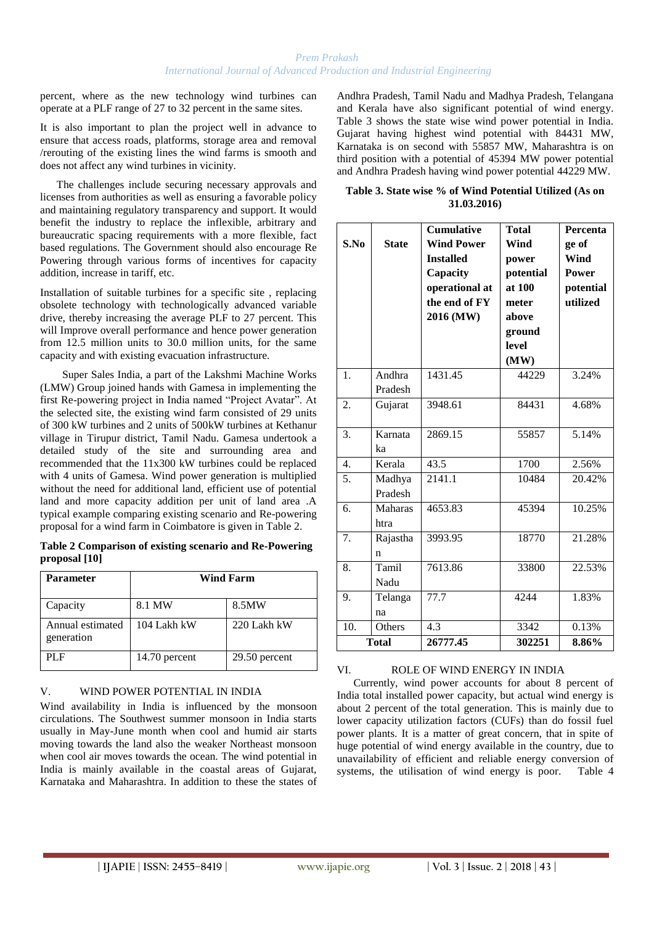#### *Prem Prakash International Journal of Advanced Production and Industrial Engineering*

percent, where as the new technology wind turbines can operate at a PLF range of 27 to 32 percent in the same sites.

It is also important to plan the project well in advance to ensure that access roads, platforms, storage area and removal /rerouting of the existing lines the wind farms is smooth and does not affect any wind turbines in vicinity.

 The challenges include securing necessary approvals and licenses from authorities as well as ensuring a favorable policy and maintaining regulatory transparency and support. It would benefit the industry to replace the inflexible, arbitrary and bureaucratic spacing requirements with a more flexible, fact based regulations. The Government should also encourage Re Powering through various forms of incentives for capacity addition, increase in tariff, etc.

Installation of suitable turbines for a specific site , replacing obsolete technology with technologically advanced variable drive, thereby increasing the average PLF to 27 percent. This will Improve overall performance and hence power generation from 12.5 million units to 30.0 million units, for the same capacity and with existing evacuation infrastructure.

 Super Sales India, a part of the Lakshmi Machine Works (LMW) Group joined hands with Gamesa in implementing the first Re-powering project in India named "Project Avatar". At the selected site, the existing wind farm consisted of 29 units of 300 kW turbines and 2 units of 500kW turbines at Kethanur village in Tirupur district, Tamil Nadu. Gamesa undertook a detailed study of the site and surrounding area and recommended that the 11x300 kW turbines could be replaced with 4 units of Gamesa. Wind power generation is multiplied without the need for additional land, efficient use of potential land and more capacity addition per unit of land area .A typical example comparing existing scenario and Re-powering proposal for a wind farm in Coimbatore is given in Table 2.

**Table 2 Comparison of existing scenario and Re-Powering proposal [10]**

| <b>Parameter</b>               | <b>Wind Farm</b> |               |  |  |  |  |
|--------------------------------|------------------|---------------|--|--|--|--|
| Capacity                       | 8.1 MW           | 8.5MW         |  |  |  |  |
| Annual estimated<br>generation | $104$ Lakh kW    | 220 Lakh kW   |  |  |  |  |
| PLF                            | 14.70 percent    | 29.50 percent |  |  |  |  |

#### V. WIND POWER POTENTIAL IN INDIA

Wind availability in India is influenced by the monsoon circulations. The Southwest summer monsoon in India starts usually in May-June month when cool and humid air starts moving towards the land also the weaker Northeast monsoon when cool air moves towards the ocean. The wind potential in India is mainly available in the coastal areas of Gujarat, Karnataka and Maharashtra. In addition to these the states of

Andhra Pradesh, Tamil Nadu and Madhya Pradesh, Telangana and Kerala have also significant potential of wind energy. Table 3 shows the state wise wind power potential in India. Gujarat having highest wind potential with 84431 MW, Karnataka is on second with 55857 MW, Maharashtra is on third position with a potential of 45394 MW power potential and Andhra Pradesh having wind power potential 44229 MW.

|  |  |             | Table 3. State wise % of Wind Potential Utilized (As on |  |
|--|--|-------------|---------------------------------------------------------|--|
|  |  | 31.03.2016) |                                                         |  |

| S.No | <b>State</b>      | <b>Cumulative</b><br><b>Wind Power</b><br><b>Installed</b><br>Capacity<br>operational at<br>the end of FY<br>2016 (MW) | <b>Total</b><br>Wind<br>power<br>potential<br>at 100<br>meter<br>above<br>ground<br>level<br>(MW) | Percenta<br>ge of<br>Wind<br><b>Power</b><br>potential<br>utilized |  |  |
|------|-------------------|------------------------------------------------------------------------------------------------------------------------|---------------------------------------------------------------------------------------------------|--------------------------------------------------------------------|--|--|
| 1.   | Andhra<br>Pradesh | 1431.45                                                                                                                | 44229                                                                                             | 3.24%                                                              |  |  |
| 2.   | Gujarat           | 3948.61                                                                                                                | 84431                                                                                             | 4.68%                                                              |  |  |
| 3.   | Karnata<br>ka     | 2869.15                                                                                                                | 55857                                                                                             | 5.14%                                                              |  |  |
| 4.   | Kerala            | 43.5                                                                                                                   | 1700                                                                                              | 2.56%                                                              |  |  |
| 5.   | Madhya<br>Pradesh | 2141.1                                                                                                                 | 10484                                                                                             | 20.42%                                                             |  |  |
| 6.   | Maharas<br>htra   | 4653.83                                                                                                                | 45394                                                                                             | 10.25%                                                             |  |  |
| 7.   | Rajastha<br>n     | 3993.95                                                                                                                | 18770                                                                                             | 21.28%                                                             |  |  |
| 8.   | Tamil<br>Nadu     | 7613.86                                                                                                                | 33800                                                                                             | 22.53%                                                             |  |  |
| 9.   | Telanga<br>na     | 77.7                                                                                                                   | 4244                                                                                              | 1.83%                                                              |  |  |
| 10.  | Others            | 4.3                                                                                                                    | 3342                                                                                              | 0.13%                                                              |  |  |
|      | <b>Total</b>      | 26777.45                                                                                                               | 302251                                                                                            | 8.86%                                                              |  |  |

#### VI. ROLE OF WIND ENERGY IN INDIA

 Currently, wind power accounts for about 8 percent of India total installed power capacity, but actual wind energy is about 2 percent of the total generation. This is mainly due to lower capacity utilization factors (CUFs) than do fossil fuel power plants. It is a matter of great concern, that in spite of huge potential of wind energy available in the country, due to unavailability of efficient and reliable energy conversion of systems, the utilisation of wind energy is poor. Table 4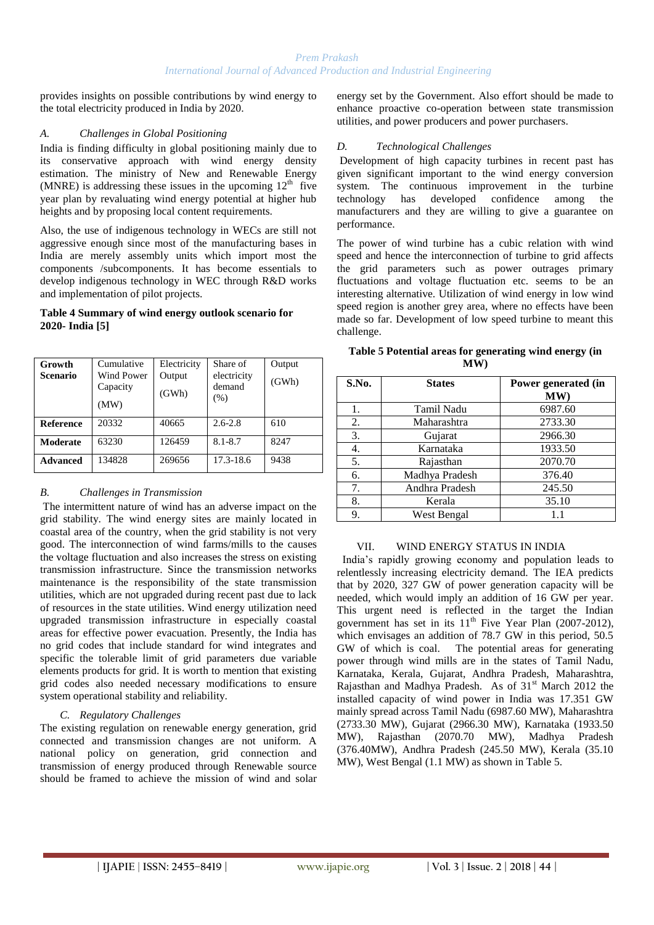provides insights on possible contributions by wind energy to the total electricity produced in India by 2020.

#### *A. Challenges in Global Positioning*

India is finding difficulty in global positioning mainly due to its conservative approach with wind energy density estimation. The ministry of New and Renewable Energy (MNRE) is addressing these issues in the upcoming  $12<sup>th</sup>$  five year plan by revaluating wind energy potential at higher hub heights and by proposing local content requirements.

Also, the use of indigenous technology in WECs are still not aggressive enough since most of the manufacturing bases in India are merely assembly units which import most the components /subcomponents. It has become essentials to develop indigenous technology in WEC through R&D works and implementation of pilot projects.

#### **Table 4 Summary of wind energy outlook scenario for 2020- India [5]**

| Growth<br>Scenario | Cumulative<br>Wind Power<br>Capacity<br>(MW) | Electricity<br>Output<br>(GWh) | Share of<br>electricity<br>demand<br>(% ) | Output<br>(GWh) |
|--------------------|----------------------------------------------|--------------------------------|-------------------------------------------|-----------------|
| <b>Reference</b>   | 20332                                        | 40665                          | $2.6 - 2.8$                               | 610             |
| Moderate           | 63230                                        | 126459                         | $8.1 - 8.7$                               | 8247            |
| <b>Advanced</b>    | 134828                                       | 269656                         | $17.3 - 18.6$                             | 9438            |

# *B. Challenges in Transmission*

The intermittent nature of wind has an adverse impact on the grid stability. The wind energy sites are mainly located in coastal area of the country, when the grid stability is not very good. The interconnection of wind farms/mills to the causes the voltage fluctuation and also increases the stress on existing transmission infrastructure. Since the transmission networks maintenance is the responsibility of the state transmission utilities, which are not upgraded during recent past due to lack of resources in the state utilities. Wind energy utilization need upgraded transmission infrastructure in especially coastal areas for effective power evacuation. Presently, the India has no grid codes that include standard for wind integrates and specific the tolerable limit of grid parameters due variable elements products for grid. It is worth to mention that existing grid codes also needed necessary modifications to ensure system operational stability and reliability.

# *C. Regulatory Challenges*

The existing regulation on renewable energy generation, grid connected and transmission changes are not uniform. A national policy on generation, grid connection and transmission of energy produced through Renewable source should be framed to achieve the mission of wind and solar

energy set by the Government. Also effort should be made to enhance proactive co-operation between state transmission utilities, and power producers and power purchasers.

### *D. Technological Challenges*

Development of high capacity turbines in recent past has given significant important to the wind energy conversion system. The continuous improvement in the turbine technology has developed confidence among the manufacturers and they are willing to give a guarantee on performance.

The power of wind turbine has a cubic relation with wind speed and hence the interconnection of turbine to grid affects the grid parameters such as power outrages primary fluctuations and voltage fluctuation etc. seems to be an interesting alternative. Utilization of wind energy in low wind speed region is another grey area, where no effects have been made so far. Development of low speed turbine to meant this challenge.

| Table 5 Potential areas for generating wind energy (in |  |
|--------------------------------------------------------|--|
| MW)                                                    |  |

| S.No. | <b>States</b>  | Power generated (in<br>MW) |
|-------|----------------|----------------------------|
| 1.    | Tamil Nadu     | 6987.60                    |
| 2.    | Maharashtra    | 2733.30                    |
| 3.    | Gujarat        | 2966.30                    |
| 4.    | Karnataka      | 1933.50                    |
| 5.    | Rajasthan      | 2070.70                    |
| 6.    | Madhya Pradesh | 376.40                     |
| 7.    | Andhra Pradesh | 245.50                     |
| 8.    | Kerala         | 35.10                      |
| 9.    | West Bengal    |                            |

#### VII. WIND ENERGY STATUS IN INDIA

 India's rapidly growing economy and population leads to relentlessly increasing electricity demand. The IEA predicts that by 2020, 327 GW of power generation capacity will be needed, which would imply an addition of 16 GW per year. This urgent need is reflected in the target the Indian government has set in its  $11<sup>th</sup>$  Five Year Plan (2007-2012), which envisages an addition of 78.7 GW in this period, 50.5 GW of which is coal. The potential areas for generating power through wind mills are in the states of Tamil Nadu, Karnataka, Kerala, Gujarat, Andhra Pradesh, Maharashtra, Rajasthan and Madhya Pradesh. As of 31<sup>st</sup> March 2012 the installed capacity of wind power in India was 17.351 GW mainly spread across Tamil Nadu (6987.60 MW), Maharashtra (2733.30 MW), Gujarat (2966.30 MW), Karnataka (1933.50 MW), Rajasthan (2070.70 MW), Madhya Pradesh (376.40MW), Andhra Pradesh (245.50 MW), Kerala (35.10 MW), West Bengal (1.1 MW) as shown in Table 5.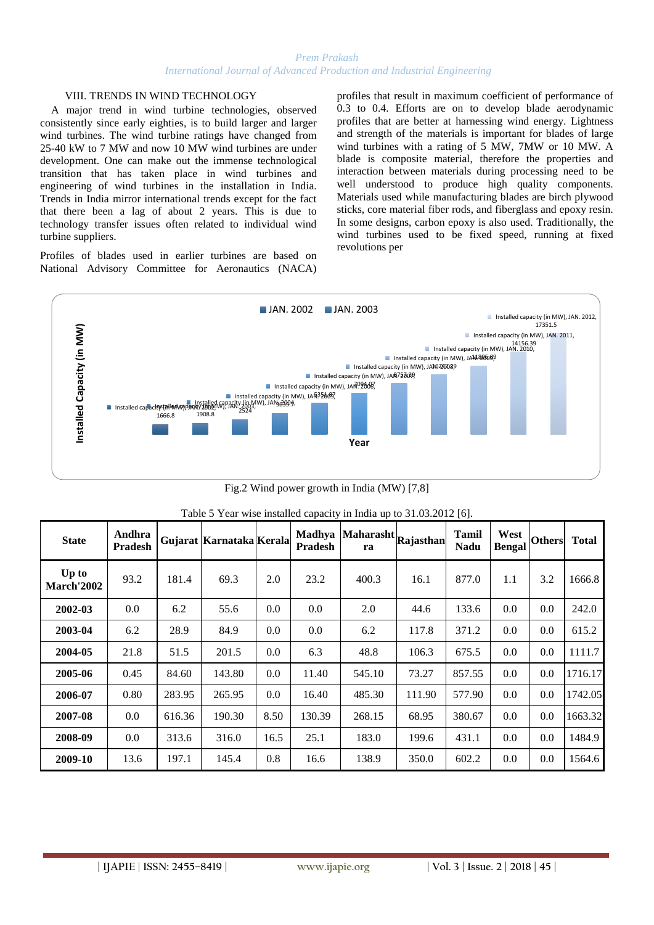#### *Prem Prakash International Journal of Advanced Production and Industrial Engineering*

#### VIII. TRENDS IN WIND TECHNOLOGY

 A major trend in wind turbine technologies, observed consistently since early eighties, is to build larger and larger wind turbines. The wind turbine ratings have changed from 25-40 kW to 7 MW and now 10 MW wind turbines are under development. One can make out the immense technological transition that has taken place in wind turbines and engineering of wind turbines in the installation in India. Trends in India mirror international trends except for the fact that there been a lag of about 2 years. This is due to technology transfer issues often related to individual wind turbine suppliers.

Profiles of blades used in earlier turbines are based on National Advisory Committee for Aeronautics (NACA)

profiles that result in maximum coefficient of performance of 0.3 to 0.4. Efforts are on to develop blade aerodynamic profiles that are better at harnessing wind energy. Lightness and strength of the materials is important for blades of large wind turbines with a rating of 5 MW, 7MW or 10 MW. A blade is composite material, therefore the properties and interaction between materials during processing need to be well understood to produce high quality components. Materials used while manufacturing blades are birch plywood sticks, core material fiber rods, and fiberglass and epoxy resin. In some designs, carbon epoxy is also used. Traditionally, the wind turbines used to be fixed speed, running at fixed revolutions per



Fig.2 Wind power growth in India (MW) [7,8]

| <b>State</b>                 | Andhra<br><b>Pradesh</b> |        | Gujarat Karnataka Kerala |      | Madhya<br><b>Pradesh</b> | <b>Maharasht</b><br>ra | Rajasthan | <b>Tamil</b><br><b>Nadu</b> | West<br><b>Bengal</b> | <b>Others</b> | Total   |
|------------------------------|--------------------------|--------|--------------------------|------|--------------------------|------------------------|-----------|-----------------------------|-----------------------|---------------|---------|
| $Up$ to<br><b>March'2002</b> | 93.2                     | 181.4  | 69.3                     | 2.0  | 23.2                     | 400.3                  | 16.1      | 877.0                       | 1.1                   | 3.2           | 1666.8  |
| 2002-03                      | 0.0                      | 6.2    | 55.6                     | 0.0  | 0.0                      | 2.0                    | 44.6      | 133.6                       | 0.0                   | 0.0           | 242.0   |
| 2003-04                      | 6.2                      | 28.9   | 84.9                     | 0.0  | 0.0                      | 6.2                    | 117.8     | 371.2                       | 0.0                   | 0.0           | 615.2   |
| 2004-05                      | 21.8                     | 51.5   | 201.5                    | 0.0  | 6.3                      | 48.8                   | 106.3     | 675.5                       | 0.0                   | 0.0           | 1111.7  |
| 2005-06                      | 0.45                     | 84.60  | 143.80                   | 0.0  | 11.40                    | 545.10                 | 73.27     | 857.55                      | 0.0                   | 0.0           | 1716.17 |
| 2006-07                      | 0.80                     | 283.95 | 265.95                   | 0.0  | 16.40                    | 485.30                 | 111.90    | 577.90                      | 0.0                   | 0.0           | 1742.05 |
| 2007-08                      | 0.0                      | 616.36 | 190.30                   | 8.50 | 130.39                   | 268.15                 | 68.95     | 380.67                      | 0.0                   | 0.0           | 1663.32 |
| 2008-09                      | $0.0\,$                  | 313.6  | 316.0                    | 16.5 | 25.1                     | 183.0                  | 199.6     | 431.1                       | 0.0                   | 0.0           | 1484.9  |
| 2009-10                      | 13.6                     | 197.1  | 145.4                    | 0.8  | 16.6                     | 138.9                  | 350.0     | 602.2                       | 0.0                   | 0.0           | 1564.6  |

|  | Table 5 Year wise installed capacity in India up to 31.03.2012 [6]. |  |  |  |  |
|--|---------------------------------------------------------------------|--|--|--|--|
|  |                                                                     |  |  |  |  |